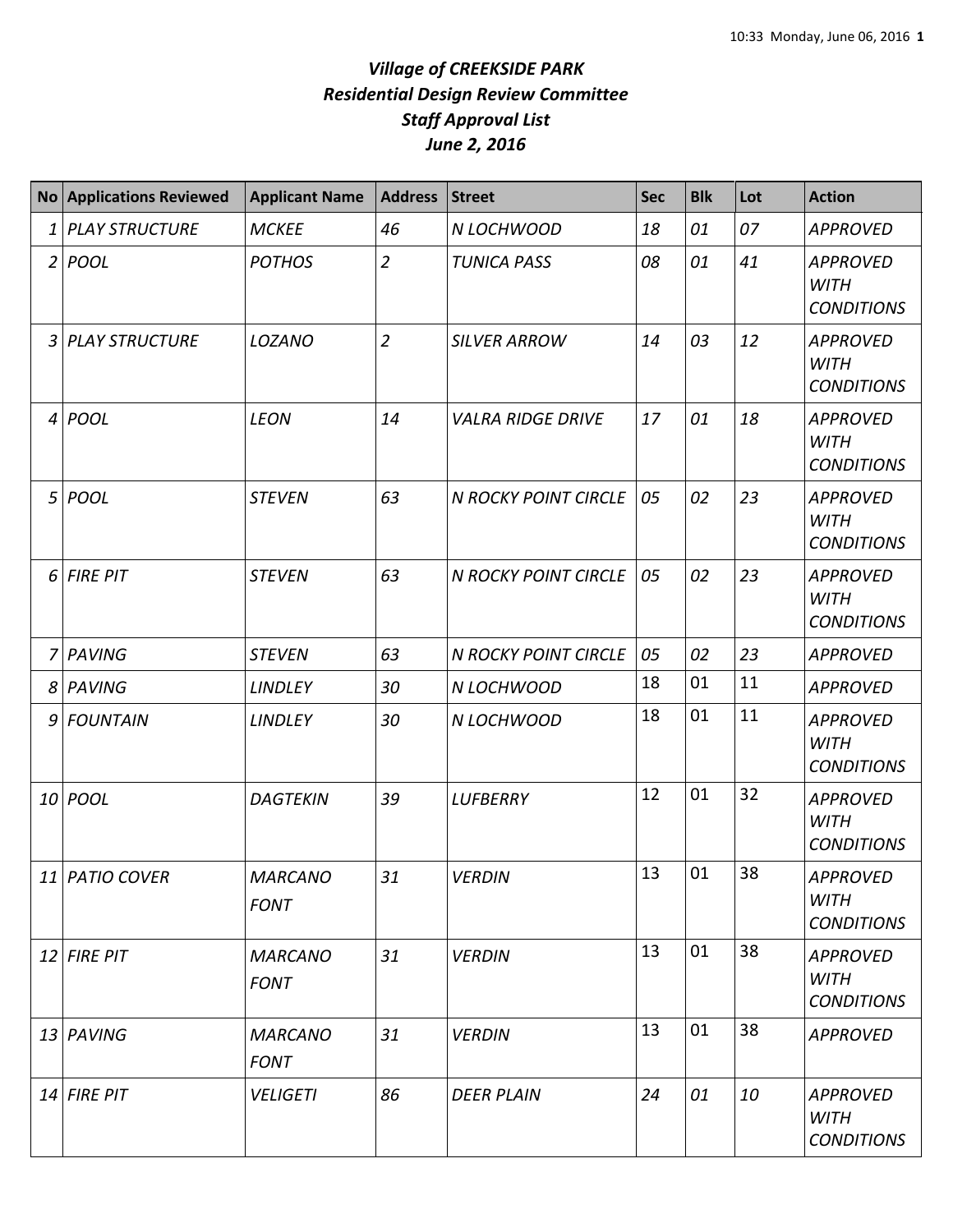| <b>No</b>       | <b>Applications Reviewed</b> | <b>Applicant Name</b>         | <b>Address</b> | <b>Street</b>               | <b>Sec</b> | <b>Blk</b> | Lot | <b>Action</b>                                       |
|-----------------|------------------------------|-------------------------------|----------------|-----------------------------|------------|------------|-----|-----------------------------------------------------|
| $\mathbf{1}$    | <b>PLAY STRUCTURE</b>        | <b>MCKEE</b>                  | 46             | N LOCHWOOD                  | 18         | 01         | 07  | <b>APPROVED</b>                                     |
| 2               | <b>POOL</b>                  | <b>POTHOS</b>                 | $\overline{2}$ | <b>TUNICA PASS</b>          | 08         | 01         | 41  | <b>APPROVED</b><br><b>WITH</b><br><b>CONDITIONS</b> |
| 3               | <b>PLAY STRUCTURE</b>        | LOZANO                        | $\overline{2}$ | <b>SILVER ARROW</b>         | 14         | 03         | 12  | <b>APPROVED</b><br><b>WITH</b><br><b>CONDITIONS</b> |
| $\vert 4 \vert$ | POOL                         | <b>LEON</b>                   | 14             | <b>VALRA RIDGE DRIVE</b>    | 17         | 01         | 18  | <b>APPROVED</b><br><b>WITH</b><br><b>CONDITIONS</b> |
| 5               | <b>POOL</b>                  | <b>STEVEN</b>                 | 63             | <b>N ROCKY POINT CIRCLE</b> | 05         | 02         | 23  | <b>APPROVED</b><br><b>WITH</b><br><b>CONDITIONS</b> |
| 6               | <b>FIRE PIT</b>              | <b>STEVEN</b>                 | 63             | <b>N ROCKY POINT CIRCLE</b> | 05         | 02         | 23  | <b>APPROVED</b><br><b>WITH</b><br><b>CONDITIONS</b> |
| $\overline{7}$  | PAVING                       | <b>STEVEN</b>                 | 63             | N ROCKY POINT CIRCLE        | 05         | 02         | 23  | <b>APPROVED</b>                                     |
| 8               | PAVING                       | <b>LINDLEY</b>                | 30             | N LOCHWOOD                  | 18         | 01         | 11  | <b>APPROVED</b>                                     |
| 9               | <b>FOUNTAIN</b>              | <b>LINDLEY</b>                | 30             | N LOCHWOOD                  | 18         | 01         | 11  | <b>APPROVED</b><br><b>WITH</b><br><b>CONDITIONS</b> |
| 10              | <b>POOL</b>                  | <b>DAGTEKIN</b>               | 39             | <b>LUFBERRY</b>             | 12         | 01         | 32  | <b>APPROVED</b><br><b>WITH</b><br><b>CONDITIONS</b> |
|                 | 11 PATIO COVER               | <b>MARCANO</b><br><b>FONT</b> | 31             | <b>VERDIN</b>               | 13         | 01         | 38  | <b>APPROVED</b><br><b>WITH</b><br><b>CONDITIONS</b> |
|                 | $12$ FIRE PIT                | <b>MARCANO</b><br><b>FONT</b> | 31             | <b>VERDIN</b>               | 13         | 01         | 38  | <b>APPROVED</b><br><b>WITH</b><br><b>CONDITIONS</b> |
|                 | 13 PAVING                    | <b>MARCANO</b><br><b>FONT</b> | 31             | <b>VERDIN</b>               | 13         | 01         | 38  | <b>APPROVED</b>                                     |
|                 | $14$ FIRE PIT                | <b>VELIGETI</b>               | 86             | <b>DEER PLAIN</b>           | 24         | 01         | 10  | <b>APPROVED</b><br>WITH<br><b>CONDITIONS</b>        |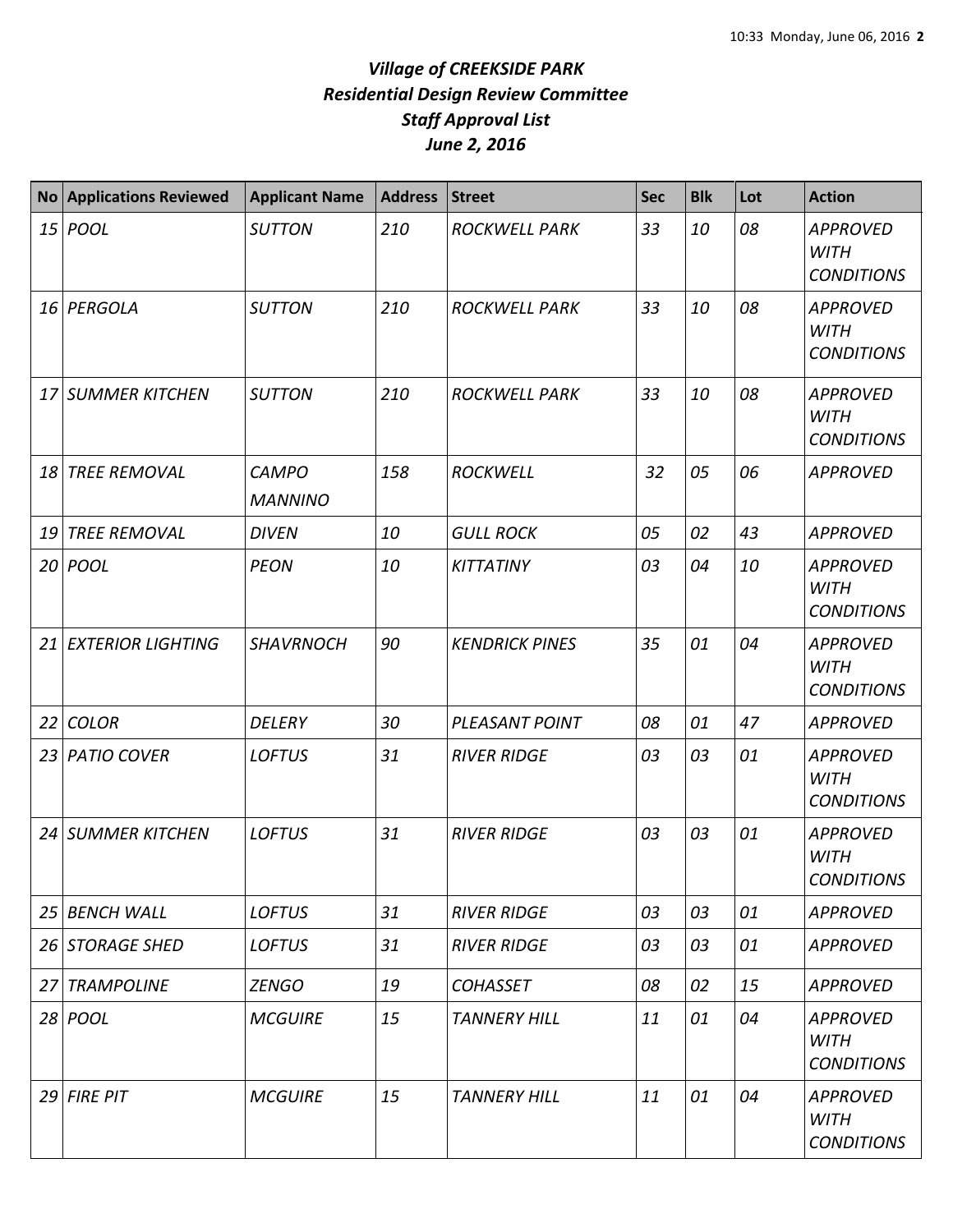| <b>No</b> | <b>Applications Reviewed</b> | <b>Applicant Name</b>          | <b>Address</b> | <b>Street</b>         | <b>Sec</b> | <b>Blk</b> | Lot | <b>Action</b>                                       |
|-----------|------------------------------|--------------------------------|----------------|-----------------------|------------|------------|-----|-----------------------------------------------------|
|           | 15 <i>POOL</i>               | <b>SUTTON</b>                  | 210            | <b>ROCKWELL PARK</b>  | 33         | 10         | 08  | <b>APPROVED</b><br><b>WITH</b><br><b>CONDITIONS</b> |
|           | 16 PERGOLA                   | <b>SUTTON</b>                  | 210            | <b>ROCKWELL PARK</b>  | 33         | 10         | 08  | <b>APPROVED</b><br><b>WITH</b><br><b>CONDITIONS</b> |
| 17        | <b>SUMMER KITCHEN</b>        | <b>SUTTON</b>                  | 210            | <b>ROCKWELL PARK</b>  | 33         | 10         | 08  | <b>APPROVED</b><br><b>WITH</b><br><b>CONDITIONS</b> |
| 18        | <b>TREE REMOVAL</b>          | <b>CAMPO</b><br><b>MANNINO</b> | 158            | <b>ROCKWELL</b>       | 32         | 05         | 06  | <b>APPROVED</b>                                     |
| 19        | <b>TREE REMOVAL</b>          | <b>DIVEN</b>                   | 10             | <b>GULL ROCK</b>      | 05         | 02         | 43  | <b>APPROVED</b>                                     |
|           | 20 <i>POOL</i>               | <b>PEON</b>                    | 10             | <b>KITTATINY</b>      | 03         | 04         | 10  | <b>APPROVED</b><br><b>WITH</b><br><b>CONDITIONS</b> |
| 21        | <b>EXTERIOR LIGHTING</b>     | <b>SHAVRNOCH</b>               | 90             | <b>KENDRICK PINES</b> | 35         | 01         | 04  | <b>APPROVED</b><br><b>WITH</b><br><b>CONDITIONS</b> |
| 22        | <b>COLOR</b>                 | <b>DELERY</b>                  | 30             | PLEASANT POINT        | 08         | 01         | 47  | <b>APPROVED</b>                                     |
| 23        | <b>PATIO COVER</b>           | <b>LOFTUS</b>                  | 31             | <b>RIVER RIDGE</b>    | 03         | 03         | 01  | <b>APPROVED</b><br><b>WITH</b><br><b>CONDITIONS</b> |
|           | 24 SUMMER KITCHEN            | <b>LOFTUS</b>                  | 31             | <b>RIVER RIDGE</b>    | 03         | 03         | 01  | <b>APPROVED</b><br><b>WITH</b><br><b>CONDITIONS</b> |
| 25        | <b>BENCH WALL</b>            | <b>LOFTUS</b>                  | 31             | <b>RIVER RIDGE</b>    | 03         | 03         | 01  | <b>APPROVED</b>                                     |
|           | 26 STORAGE SHED              | <b>LOFTUS</b>                  | 31             | <b>RIVER RIDGE</b>    | 03         | 03         | 01  | <b>APPROVED</b>                                     |
| 27        | <b>TRAMPOLINE</b>            | <b>ZENGO</b>                   | 19             | <b>COHASSET</b>       | 08         | 02         | 15  | <b>APPROVED</b>                                     |
|           | 28 POOL                      | <b>MCGUIRE</b>                 | 15             | <b>TANNERY HILL</b>   | 11         | 01         | 04  | <b>APPROVED</b><br><b>WITH</b><br><b>CONDITIONS</b> |
|           | 29 FIRE PIT                  | <b>MCGUIRE</b>                 | 15             | <b>TANNERY HILL</b>   | 11         | 01         | 04  | <b>APPROVED</b><br><b>WITH</b><br><b>CONDITIONS</b> |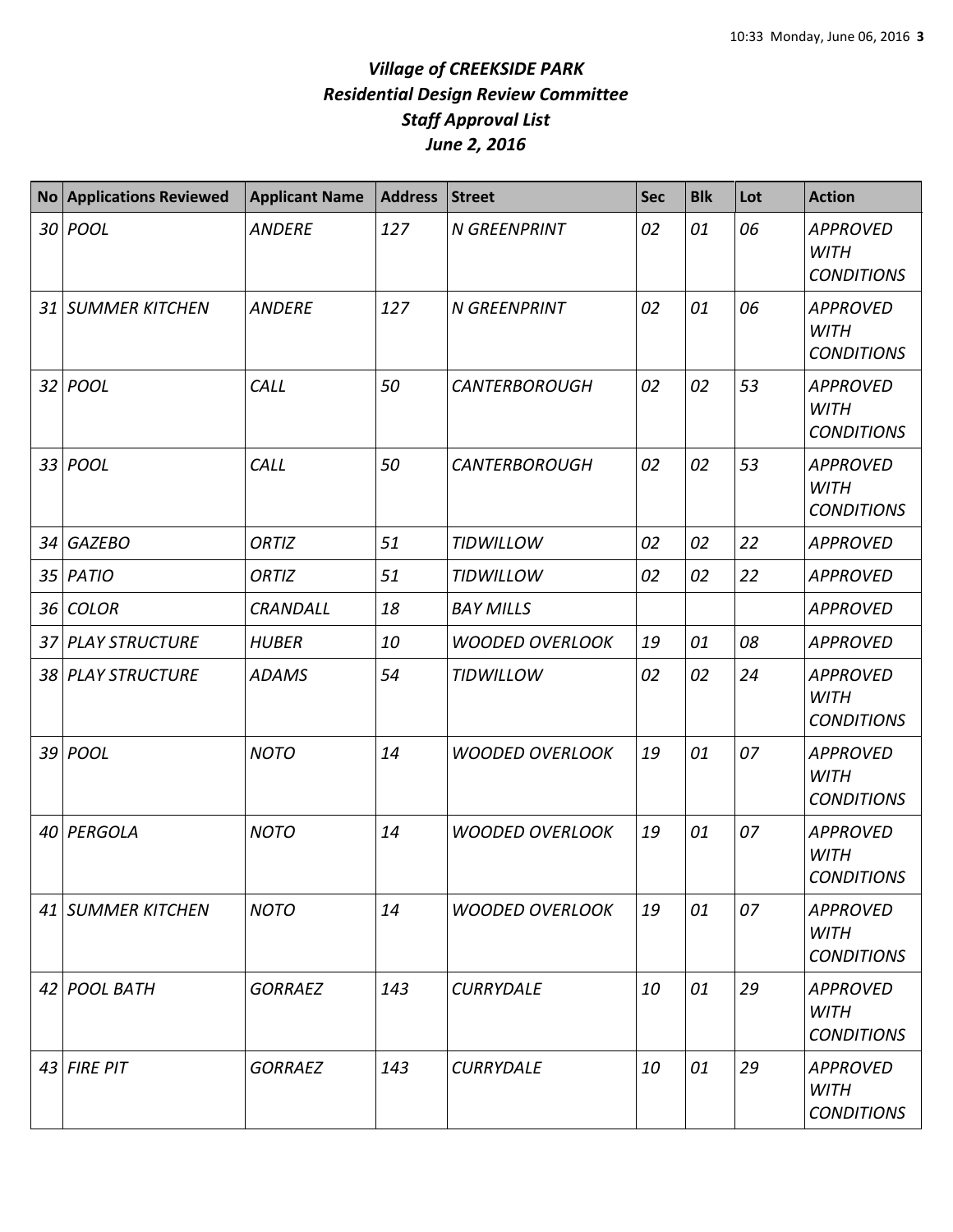| <b>No</b> | <b>Applications Reviewed</b> | <b>Applicant Name</b> | <b>Address</b> | <b>Street</b>          | Sec | <b>Blk</b> | Lot | <b>Action</b>                                       |
|-----------|------------------------------|-----------------------|----------------|------------------------|-----|------------|-----|-----------------------------------------------------|
|           | 30 <i>POOL</i>               | <b>ANDERE</b>         | 127            | <b>N GREENPRINT</b>    | 02  | 01         | 06  | <b>APPROVED</b><br><b>WITH</b><br><b>CONDITIONS</b> |
|           | 31 SUMMER KITCHEN            | <b>ANDERE</b>         | 127            | <b>N GREENPRINT</b>    | 02  | 01         | 06  | <b>APPROVED</b><br><b>WITH</b><br><b>CONDITIONS</b> |
|           | 32 <i>POOL</i>               | CALL                  | 50             | <b>CANTERBOROUGH</b>   | 02  | 02         | 53  | <b>APPROVED</b><br><b>WITH</b><br><b>CONDITIONS</b> |
|           | 33 <i>POOL</i>               | CALL                  | 50             | <b>CANTERBOROUGH</b>   | 02  | 02         | 53  | <b>APPROVED</b><br><b>WITH</b><br><b>CONDITIONS</b> |
| 34        | <b>GAZEBO</b>                | <b>ORTIZ</b>          | 51             | <b>TIDWILLOW</b>       | 02  | 02         | 22  | <b>APPROVED</b>                                     |
|           | 35 PATIO                     | <b>ORTIZ</b>          | 51             | <b>TIDWILLOW</b>       | 02  | 02         | 22  | <b>APPROVED</b>                                     |
|           | 36 COLOR                     | <b>CRANDALL</b>       | 18             | <b>BAY MILLS</b>       |     |            |     | <b>APPROVED</b>                                     |
|           | 37 PLAY STRUCTURE            | <b>HUBER</b>          | 10             | <b>WOODED OVERLOOK</b> | 19  | 01         | 08  | <b>APPROVED</b>                                     |
|           | 38 PLAY STRUCTURE            | <b>ADAMS</b>          | 54             | <b>TIDWILLOW</b>       | 02  | 02         | 24  | <b>APPROVED</b><br><b>WITH</b><br><b>CONDITIONS</b> |
|           | 39 <i>POOL</i>               | <b>NOTO</b>           | 14             | <b>WOODED OVERLOOK</b> | 19  | 01         | 07  | <b>APPROVED</b><br><b>WITH</b><br><b>CONDITIONS</b> |
|           | 40 PERGOLA                   | <b>NOTO</b>           | 14             | <b>WOODED OVERLOOK</b> | 19  | 01         | 07  | <b>APPROVED</b><br><b>WITH</b><br><b>CONDITIONS</b> |
|           | 41 SUMMER KITCHEN            | <b>NOTO</b>           | 14             | <b>WOODED OVERLOOK</b> | 19  | 01         | 07  | <b>APPROVED</b><br><b>WITH</b><br><b>CONDITIONS</b> |
|           | 42 POOL BATH                 | <b>GORRAEZ</b>        | 143            | <b>CURRYDALE</b>       | 10  | 01         | 29  | <b>APPROVED</b><br>WITH<br><b>CONDITIONS</b>        |
|           | $43$ FIRE PIT                | <b>GORRAEZ</b>        | 143            | <b>CURRYDALE</b>       | 10  | 01         | 29  | <b>APPROVED</b><br><b>WITH</b><br><b>CONDITIONS</b> |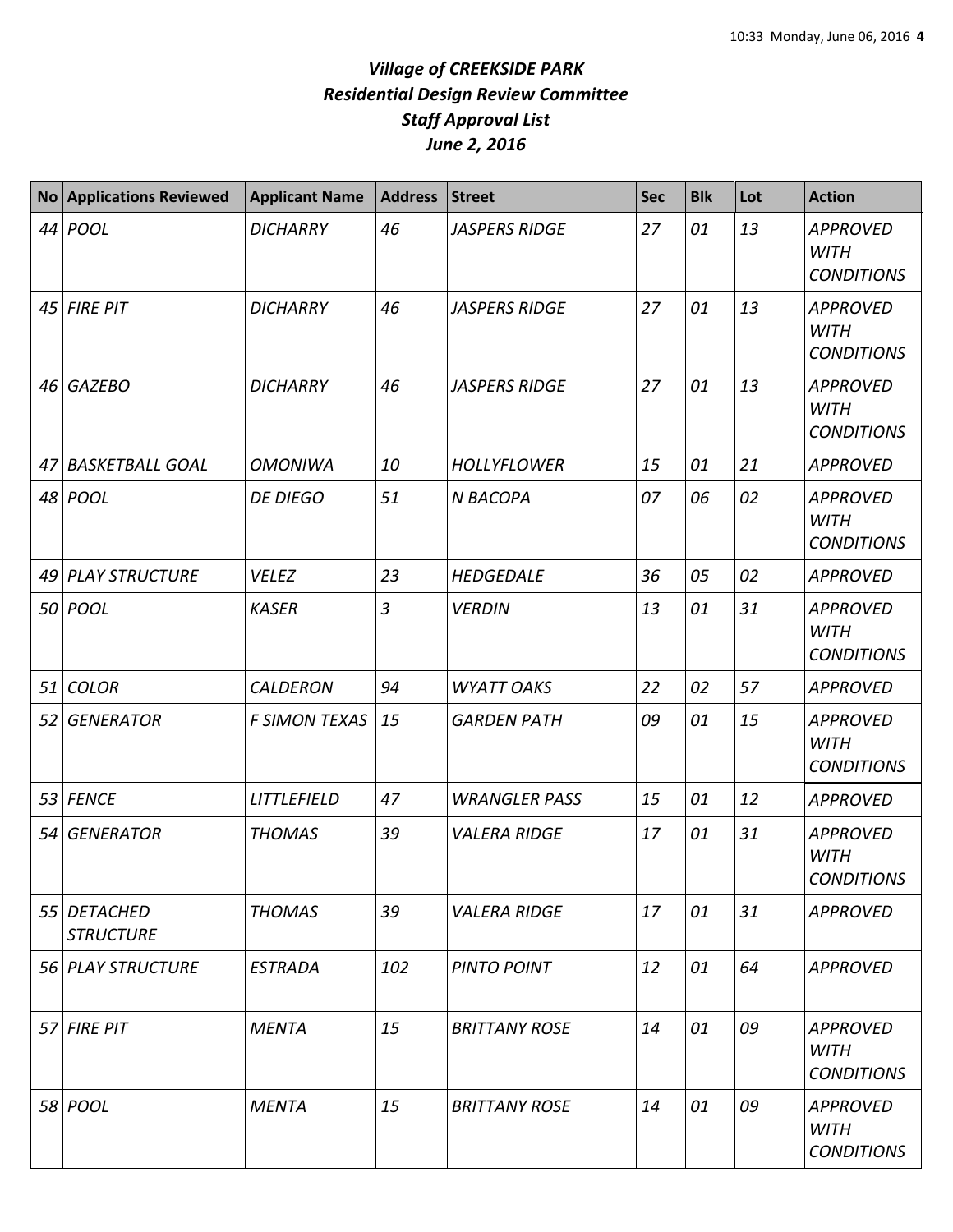|    | No Applications Reviewed        | <b>Applicant Name</b> | Address        | <b>Street</b>        | <b>Sec</b> | <b>Blk</b> | Lot | <b>Action</b>                                       |
|----|---------------------------------|-----------------------|----------------|----------------------|------------|------------|-----|-----------------------------------------------------|
|    | 44 POOL                         | <b>DICHARRY</b>       | 46             | <b>JASPERS RIDGE</b> | 27         | 01         | 13  | <b>APPROVED</b><br><b>WITH</b><br><b>CONDITIONS</b> |
|    | 45 FIRE PIT                     | <b>DICHARRY</b>       | 46             | <b>JASPERS RIDGE</b> | 27         | 01         | 13  | <b>APPROVED</b><br><b>WITH</b><br><b>CONDITIONS</b> |
| 46 | <b>GAZEBO</b>                   | <b>DICHARRY</b>       | 46             | <b>JASPERS RIDGE</b> | 27         | 01         | 13  | <b>APPROVED</b><br><b>WITH</b><br><b>CONDITIONS</b> |
| 47 | <b>BASKETBALL GOAL</b>          | <b>OMONIWA</b>        | 10             | <b>HOLLYFLOWER</b>   | 15         | 01         | 21  | <b>APPROVED</b>                                     |
|    | 48 POOL                         | <b>DE DIEGO</b>       | 51             | <b>N BACOPA</b>      | 07         | 06         | 02  | <b>APPROVED</b><br><b>WITH</b><br><b>CONDITIONS</b> |
| 49 | <b>PLAY STRUCTURE</b>           | <b>VELEZ</b>          | 23             | <b>HEDGEDALE</b>     | 36         | 05         | 02  | <b>APPROVED</b>                                     |
|    | 50 POOL                         | <b>KASER</b>          | $\overline{3}$ | <b>VERDIN</b>        | 13         | 01         | 31  | <b>APPROVED</b><br><b>WITH</b><br><b>CONDITIONS</b> |
| 51 | <b>COLOR</b>                    | <b>CALDERON</b>       | 94             | <b>WYATT OAKS</b>    | 22         | 02         | 57  | <b>APPROVED</b>                                     |
| 52 | <b>GENERATOR</b>                | <b>F SIMON TEXAS</b>  | 15             | <b>GARDEN PATH</b>   | 09         | 01         | 15  | <b>APPROVED</b><br><b>WITH</b><br><b>CONDITIONS</b> |
| 53 | <b>FENCE</b>                    | <b>LITTLEFIELD</b>    | 47             | <b>WRANGLER PASS</b> | 15         | 01         | 12  | <b>APPROVED</b>                                     |
| 54 | <b>GENERATOR</b>                | <b>THOMAS</b>         | 39             | <b>VALERA RIDGE</b>  | 17         | 01         | 31  | <b>APPROVED</b><br><b>WITH</b><br><b>CONDITIONS</b> |
|    | 55 DETACHED<br><b>STRUCTURE</b> | <b>THOMAS</b>         | 39             | <b>VALERA RIDGE</b>  | 17         | 01         | 31  | <b>APPROVED</b>                                     |
|    | 56 PLAY STRUCTURE               | <b>ESTRADA</b>        | 102            | <b>PINTO POINT</b>   | 12         | 01         | 64  | <b>APPROVED</b>                                     |
|    | 57 FIRE PIT                     | <b>MENTA</b>          | 15             | <b>BRITTANY ROSE</b> | 14         | 01         | 09  | <b>APPROVED</b><br><b>WITH</b><br><b>CONDITIONS</b> |
|    | 58 POOL                         | <b>MENTA</b>          | 15             | <b>BRITTANY ROSE</b> | 14         | 01         | 09  | <b>APPROVED</b><br><b>WITH</b><br><b>CONDITIONS</b> |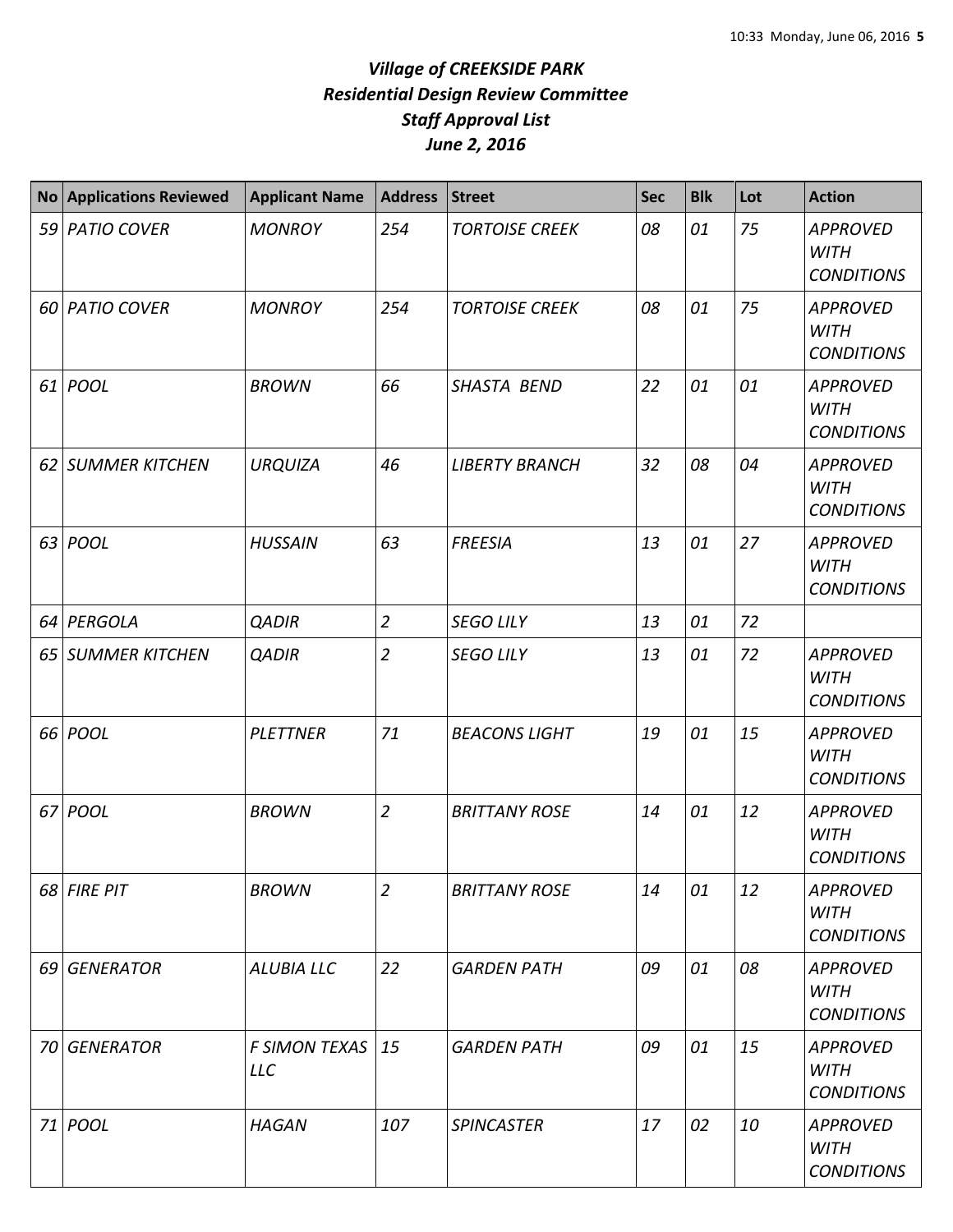|      | <b>No Applications Reviewed</b> | <b>Applicant Name</b>              | Address        | <b>Street</b>         | <b>Sec</b> | <b>Blk</b> | Lot | <b>Action</b>                                       |
|------|---------------------------------|------------------------------------|----------------|-----------------------|------------|------------|-----|-----------------------------------------------------|
|      | 59 PATIO COVER                  | <b>MONROY</b>                      | 254            | <b>TORTOISE CREEK</b> | 08         | 01         | 75  | <b>APPROVED</b><br><b>WITH</b><br><b>CONDITIONS</b> |
|      | 60 PATIO COVER                  | <b>MONROY</b>                      | 254            | <b>TORTOISE CREEK</b> | 08         | 01         | 75  | <b>APPROVED</b><br><b>WITH</b><br><b>CONDITIONS</b> |
|      | $61$ POOL                       | <b>BROWN</b>                       | 66             | <b>SHASTA BEND</b>    | 22         | 01         | 01  | <b>APPROVED</b><br><b>WITH</b><br><b>CONDITIONS</b> |
|      | 62 SUMMER KITCHEN               | <b>URQUIZA</b>                     | 46             | <b>LIBERTY BRANCH</b> | 32         | 08         | 04  | <b>APPROVED</b><br><b>WITH</b><br><b>CONDITIONS</b> |
| 63   | <b>POOL</b>                     | <b>HUSSAIN</b>                     | 63             | <b>FREESIA</b>        | 13         | 01         | 27  | <b>APPROVED</b><br><b>WITH</b><br><b>CONDITIONS</b> |
| 64 I | PERGOLA                         | <b>QADIR</b>                       | $\overline{2}$ | <b>SEGO LILY</b>      | 13         | 01         | 72  |                                                     |
| 65   | <b>SUMMER KITCHEN</b>           | <b>QADIR</b>                       | $\overline{2}$ | <b>SEGO LILY</b>      | 13         | 01         | 72  | <b>APPROVED</b><br><b>WITH</b><br><b>CONDITIONS</b> |
|      | 66 POOL                         | <b>PLETTNER</b>                    | 71             | <b>BEACONS LIGHT</b>  | 19         | 01         | 15  | <b>APPROVED</b><br><b>WITH</b><br><b>CONDITIONS</b> |
|      | 67 POOL                         | <b>BROWN</b>                       | $\overline{2}$ | <b>BRITTANY ROSE</b>  | 14         | 01         | 12  | <b>APPROVED</b><br><b>WITH</b><br><b>CONDITIONS</b> |
|      | 68 FIRE PIT                     | <b>BROWN</b>                       | $\overline{2}$ | <b>BRITTANY ROSE</b>  | 14         | 01         | 12  | <b>APPROVED</b><br><b>WITH</b><br><b>CONDITIONS</b> |
|      | 69 GENERATOR                    | ALUBIA LLC                         | 22             | <b>GARDEN PATH</b>    | 09         | 01         | 08  | <b>APPROVED</b><br><b>WITH</b><br><b>CONDITIONS</b> |
|      | 70 GENERATOR                    | <b>F SIMON TEXAS</b><br><b>LLC</b> | 15             | <b>GARDEN PATH</b>    | 09         | 01         | 15  | <b>APPROVED</b><br><b>WITH</b><br><b>CONDITIONS</b> |
|      | 71 POOL                         | <b>HAGAN</b>                       | 107            | <b>SPINCASTER</b>     | 17         | 02         | 10  | <b>APPROVED</b><br><b>WITH</b><br><b>CONDITIONS</b> |